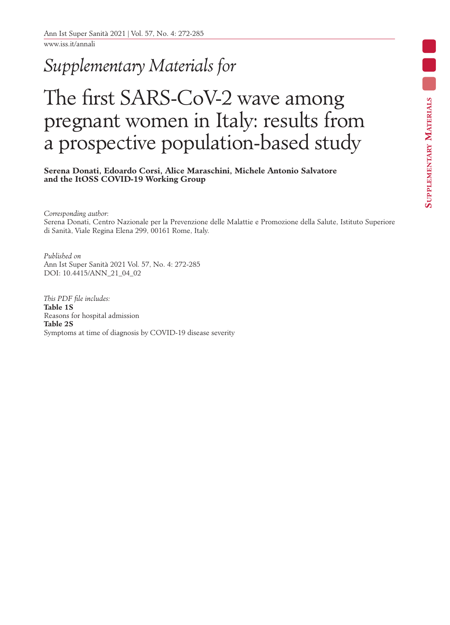www.iss.it/annali

## *Supplementary Materials for*

## The first SARS-CoV-2 wave among pregnant women in Italy: results from a prospective population-based study

**Serena Donati, Edoardo Corsi, Alice Maraschini, Michele Antonio Salvatore and the ItOSS COVID-19 Working Group**

*Corresponding author*: Serena Donati, Centro Nazionale per la Prevenzione delle Malattie e Promozione della Salute, Istituto Superiore di Sanità, Viale Regina Elena 299, 00161 Rome, Italy.

*Published on* Ann Ist Super Sanità 2021 Vol. 57, No. 4: 272-285 DOI: 10.4415/ANN\_21\_04\_02

*This PDF file includes:* **Table 1S** Reasons for hospital admission **Table 2S** Symptoms at time of diagnosis by COVID-19 disease severity